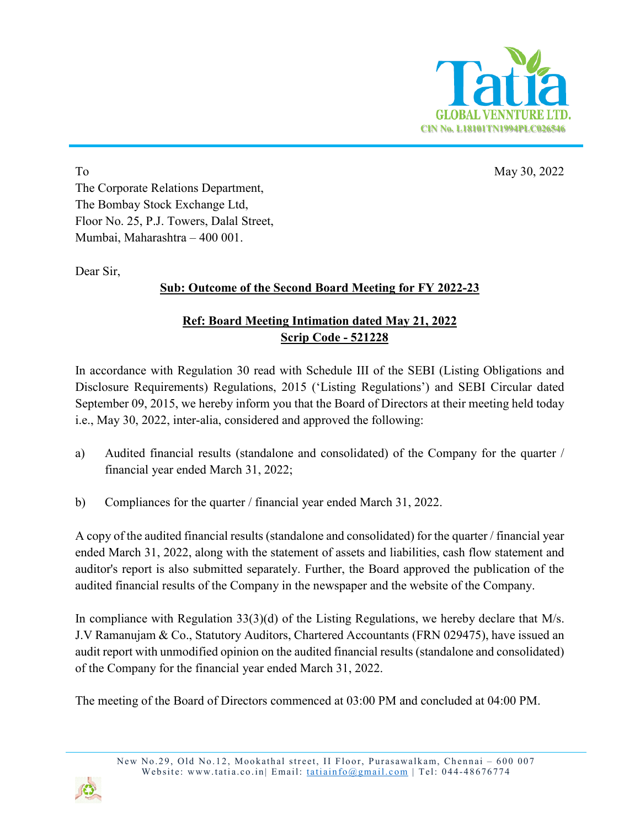

To May 30, 2022 The Corporate Relations Department, The Bombay Stock Exchange Ltd, Floor No. 25, P.J. Towers, Dalal Street, Mumbai, Maharashtra – 400 001.

Dear Sir,

## **Sub: Outcome of the Second Board Meeting for FY 2022-23**

## **Ref: Board Meeting Intimation dated May 21, 2022 Scrip Code - 521228**

In accordance with Regulation 30 read with Schedule III of the SEBI (Listing Obligations and Disclosure Requirements) Regulations, 2015 ('Listing Regulations') and SEBI Circular dated September 09, 2015, we hereby inform you that the Board of Directors at their meeting held today i.e., May 30, 2022, inter-alia, considered and approved the following:

- a) Audited financial results (standalone and consolidated) of the Company for the quarter / financial year ended March 31, 2022;
- b) Compliances for the quarter / financial year ended March 31, 2022.

A copy of the audited financial results (standalone and consolidated) for the quarter / financial year ended March 31, 2022, along with the statement of assets and liabilities, cash flow statement and auditor's report is also submitted separately. Further, the Board approved the publication of the audited financial results of the Company in the newspaper and the website of the Company.

In compliance with Regulation 33(3)(d) of the Listing Regulations, we hereby declare that M/s. J.V Ramanujam & Co., Statutory Auditors, Chartered Accountants (FRN 029475), have issued an audit report with unmodified opinion on the audited financial results (standalone and consolidated) of the Company for the financial year ended March 31, 2022.

The meeting of the Board of Directors commenced at 03:00 PM and concluded at 04:00 PM.